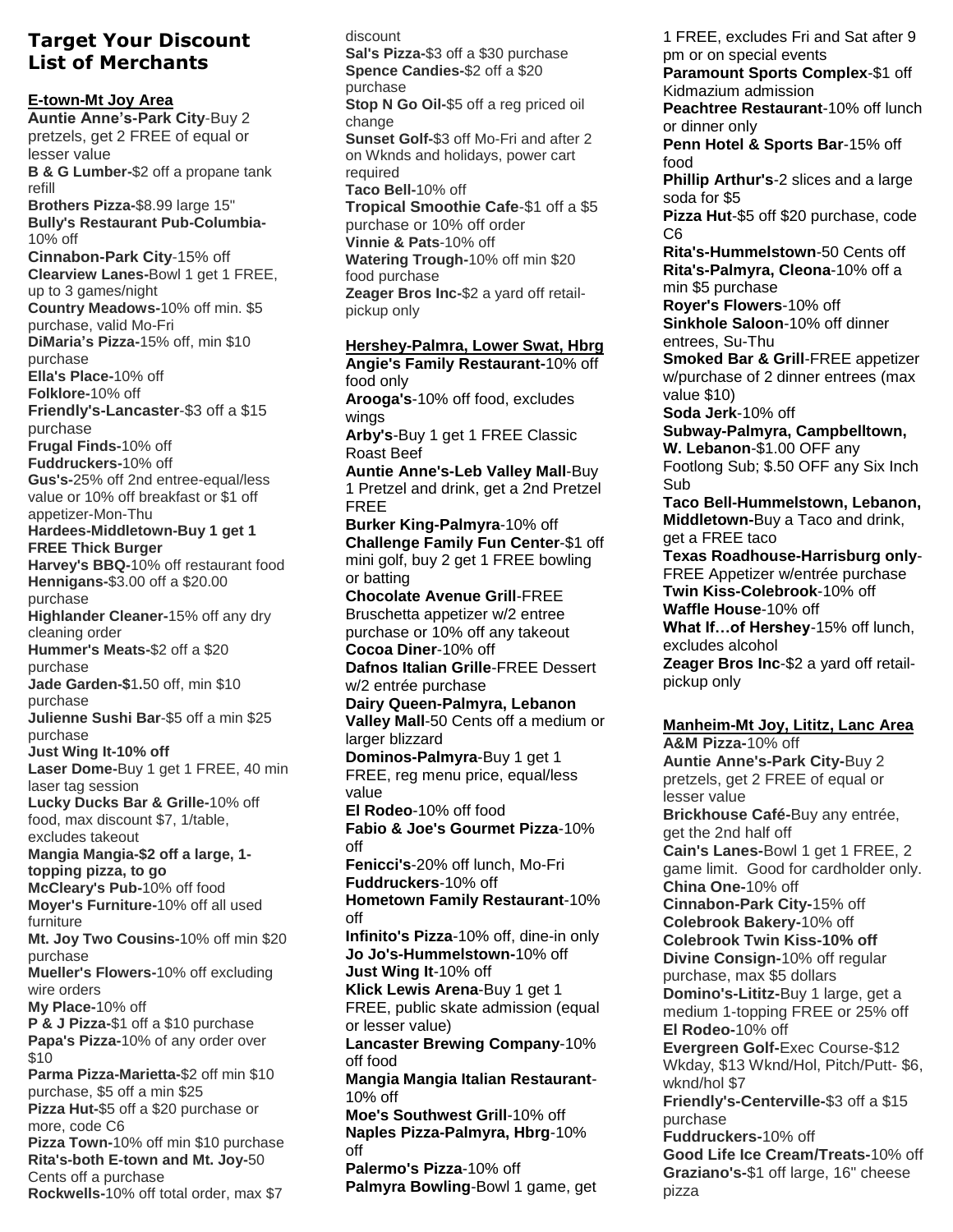## **Target Your Discount List of Merchants**

**E-town-Mt Joy Area Auntie Anne's-Park City**-Buy 2 pretzels, get 2 FREE of equal or lesser value **B & G Lumber-**\$2 off a propane tank refill **Brothers Pizza-**\$8.99 large 15" **Bully's Restaurant Pub-Columbia-**10% off **Cinnabon-Park City**-15% off **Clearview Lanes-**Bowl 1 get 1 FREE, up to 3 games/night **Country Meadows-**10% off min. \$5 purchase, valid Mo-Fri **DiMaria's Pizza-**15% off, min \$10 purchase **Ella's Place-**10% off **Folklore-**10% off **Friendly's-Lancaster**-\$3 off a \$15 purchase **Frugal Finds-**10% off **Fuddruckers-**10% off **Gus's-**25% off 2nd entree-equal/less value or 10% off breakfast or \$1 off appetizer-Mon-Thu **Hardees-Middletown-Buy 1 get 1 FREE Thick Burger Harvey's BBQ-**10% off restaurant food **Hennigans-**\$3.00 off a \$20.00 purchase **Highlander Cleaner-**15% off any dry cleaning order **Hummer's Meats-**\$2 off a \$20 purchase **Jade Garden-\$**1**.**50 off, min \$10 purchase **Julienne Sushi Bar**-\$5 off a min \$25 purchase **Just Wing It-10% off Laser Dome-**Buy 1 get 1 FREE, 40 min laser tag session **Lucky Ducks Bar & Grille-**10% off food, max discount \$7, 1/table, excludes takeout **Mangia Mangia-\$2 off a large, 1 topping pizza, to go McCleary's Pub-**10% off food **Moyer's Furniture-**10% off all used furniture **Mt. Joy Two Cousins-**10% off min \$20 purchase **Mueller's Flowers-**10% off excluding wire orders **My Place-**10% off **P & J Pizza-**\$1 off a \$10 purchase **Papa's Pizza-**10% of any order over \$10 **Parma Pizza-Marietta-**\$2 off min \$10 purchase, \$5 off a min \$25 **Pizza Hut-**\$5 off a \$20 purchase or more, code C6 **Pizza Town-**10% off min \$10 purchase **Rita's-both E-town and Mt. Joy-**50 Cents off a purchase **Rockwells-**10% off total order, max \$7

discount **Sal's Pizza-**\$3 off a \$30 purchase **Spence Candies-**\$2 off a \$20 purchase **Stop N Go Oil-**\$5 off a reg priced oil change **Sunset Golf-**\$3 off Mo-Fri and after 2 on Wknds and holidays, power cart required **Taco Bell-**10% off **Tropical Smoothie Cafe**-\$1 off a \$5 purchase or 10% off order **Vinnie & Pats**-10% off **Watering Trough-**10% off min \$20 food purchase **Zeager Bros Inc-**\$2 a yard off retailpickup only **Hershey-Palmra, Lower Swat, Hbrg Angie's Family Restaurant-**10% off food only **Arooga's**-10% off food, excludes wings **Arby's**-Buy 1 get 1 FREE Classic Roast Beef **Auntie Anne's-Leb Valley Mall**-Buy 1 Pretzel and drink, get a 2nd Pretzel FREE **Burker King-Palmyra**-10% off **Challenge Family Fun Center**-\$1 off mini golf, buy 2 get 1 FREE bowling or batting **Chocolate Avenue Grill**-FREE Bruschetta appetizer w/2 entree purchase or 10% off any takeout **Cocoa Diner**-10% off **Dafnos Italian Grille**-FREE Dessert w/2 entrée purchase **Dairy Queen-Palmyra, Lebanon Valley Mall**-50 Cents off a medium or larger blizzard **Dominos-Palmyra**-Buy 1 get 1 FREE, reg menu price, equal/less value **El Rodeo**-10% off food **Fabio & Joe's Gourmet Pizza**-10% off **Fenicci's**-20% off lunch, Mo-Fri **Fuddruckers**-10% off **Hometown Family Restaurant**-10% off **Infinito's Pizza**-10% off, dine-in only **Jo Jo's-Hummelstown-**10% off **Just Wing It**-10% off **Klick Lewis Arena**-Buy 1 get 1 FREE, public skate admission (equal or lesser value) **Lancaster Brewing Company**-10% off food **Mangia Mangia Italian Restaurant**-10% off **Moe's Southwest Grill**-10% off **Naples Pizza-Palmyra, Hbrg**-10% off

**Palermo's Pizza**-10% off **Palmyra Bowling**-Bowl 1 game, get 1 FREE, excludes Fri and Sat after 9 pm or on special events **Paramount Sports Complex**-\$1 off Kidmazium admission **Peachtree Restaurant**-10% off lunch or dinner only **Penn Hotel & Sports Bar**-15% off food **Phillip Arthur's**-2 slices and a large soda for \$5 **Pizza Hut**-\$5 off \$20 purchase, code C6 **Rita's-Hummelstown**-50 Cents off **Rita's-Palmyra, Cleona**-10% off a min \$5 purchase **Royer's Flowers**-10% off **Sinkhole Saloon**-10% off dinner entrees, Su-Thu **Smoked Bar & Grill**-FREE appetizer w/purchase of 2 dinner entrees (max value \$10) **Soda Jerk**-10% off **Subway-Palmyra, Campbelltown, W. Lebanon**-\$1.00 OFF any Footlong Sub; \$.50 OFF any Six Inch Sub **Taco Bell-Hummelstown, Lebanon, Middletown-**Buy a Taco and drink, get a FREE taco **Texas Roadhouse-Harrisburg only**-FREE Appetizer w/entrée purchase **Twin Kiss-Colebrook**-10% off **Waffle House**-10% off **What If…of Hershey**-15% off lunch, excludes alcohol **Zeager Bros Inc**-\$2 a yard off retailpickup only **Manheim-Mt Joy, Lititz, Lanc Area A&M Pizza-**10% off **Auntie Anne's-Park City-**Buy 2 pretzels, get 2 FREE of equal or lesser value **Brickhouse Café-**Buy any entrée, get the 2nd half off **Cain's Lanes-**Bowl 1 get 1 FREE, 2 game limit. Good for cardholder only. **China One-**10% off **Cinnabon-Park City-**15% off **Colebrook Bakery-**10% off **Colebrook Twin Kiss-10% off Divine Consign-**10% off regular purchase, max \$5 dollars **Domino's-Lititz-**Buy 1 large, get a medium 1-topping FREE or 25% off **El Rodeo-**10% off **Evergreen Golf-**Exec Course-\$12 Wkday, \$13 Wknd/Hol, Pitch/Putt- \$6, wknd/hol \$7 **Friendly's-Centerville-**\$3 off a \$15

purchase **Fuddruckers-**10% off **Good Life Ice Cream/Treats-**10% off **Graziano's-**\$1 off large, 16" cheese pizza